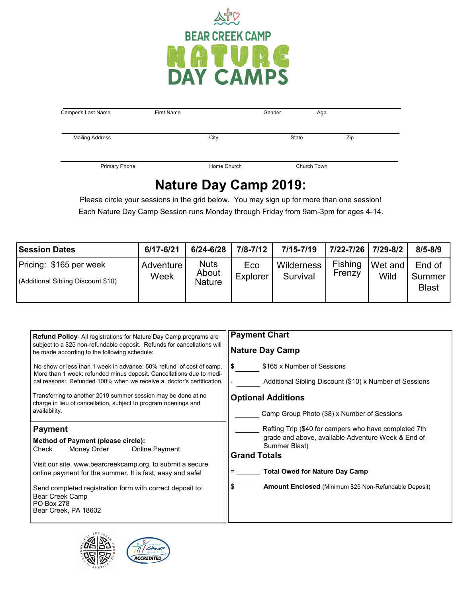

| Camper's Last Name     | <b>First Name</b> |             | Gender | Age         |
|------------------------|-------------------|-------------|--------|-------------|
| <b>Mailing Address</b> |                   | City        | State  | Zip         |
| <b>Primary Phone</b>   |                   | Home Church |        | Church Town |

## **Nature Day Camp 2019:**

Please circle your sessions in the grid below. You may sign up for more than one session! Each Nature Day Camp Session runs Monday through Friday from 9am-3pm for ages 4-14.

| <b>Session Dates</b>                                          | 6/17-6/21         | $6/24 - 6/28$                         | $7/8 - 7/12$    | $7/15 - 7/19$          | 7/22-7/26 7/29-8/2       |                 | $8/5 - 8/9$                      |
|---------------------------------------------------------------|-------------------|---------------------------------------|-----------------|------------------------|--------------------------|-----------------|----------------------------------|
| Pricing: \$165 per week<br>(Additional Sibling Discount \$10) | Adventure<br>Week | <b>Nuts</b><br>About<br><b>Nature</b> | Eco<br>Explorer | Wilderness<br>Survival | <b>Fishing</b><br>Frenzy | Wet and<br>Wild | End of<br>Summer<br><b>Blast</b> |

| <b>Refund Policy-All registrations for Nature Day Camp programs are</b><br>subject to a \$25 non-refundable deposit. Refunds for cancellations will<br>be made according to the following schedule:                                                 | <b>Payment Chart</b><br><b>Nature Day Camp</b>                                                                                                      |
|-----------------------------------------------------------------------------------------------------------------------------------------------------------------------------------------------------------------------------------------------------|-----------------------------------------------------------------------------------------------------------------------------------------------------|
| No-show or less than 1 week in advance: 50% refund of cost of camp.<br>More than 1 week: refunded minus deposit. Cancellations due to medi-<br>cal reasons: Refunded 100% when we receive a doctor's certification.                                 | \$165 x Number of Sessions<br>-S<br>Additional Sibling Discount (\$10) x Number of Sessions                                                         |
| Transferring to another 2019 summer session may be done at no<br>charge in lieu of cancellation, subject to program openings and<br>availability.                                                                                                   | <b>Optional Additions</b><br>Camp Group Photo (\$8) x Number of Sessions                                                                            |
| <b>Payment</b><br>Method of Payment (please circle):<br>Money Order<br>Check<br><b>Online Payment</b>                                                                                                                                               | Rafting Trip (\$40 for campers who have completed 7th<br>grade and above, available Adventure Week & End of<br>Summer Blast)<br><b>Grand Totals</b> |
| Visit our site, www.bearcreekcamp.org, to submit a secure<br>online payment for the summer. It is fast, easy and safe!<br>Send completed registration form with correct deposit to:<br>Bear Creek Camp<br><b>PO Box 278</b><br>Bear Creek, PA 18602 | <b>Total Owed for Nature Day Camp</b><br>\$ ________ Amount Enclosed (Minimum \$25 Non-Refundable Deposit)                                          |